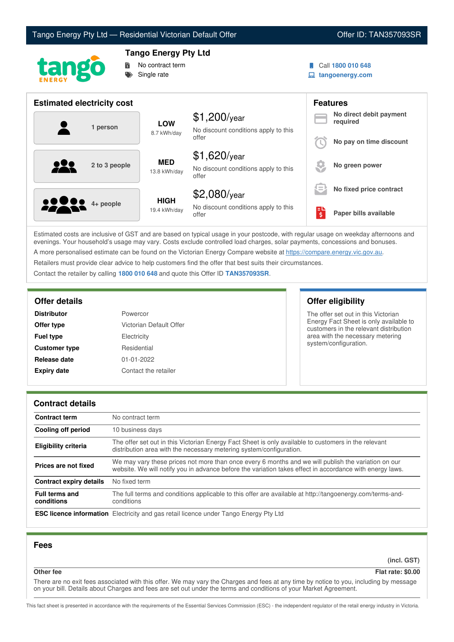



# **Tango Energy Pty Ltd**



Call **1800 010 648**

**tangoenergy.com**

| <b>Estimated electricity cost</b> |                             |                                                                 |    | <b>Features</b>                     |
|-----------------------------------|-----------------------------|-----------------------------------------------------------------|----|-------------------------------------|
| 1 person                          | <b>LOW</b><br>8.7 kWh/day   | $$1,200$ /year<br>No discount conditions apply to this          |    | No direct debit payment<br>required |
|                                   |                             | offer                                                           |    | No pay on time discount             |
| <u>929</u><br>2 to 3 people       | <b>MED</b><br>13.8 kWh/day  | $$1,620$ /year<br>No discount conditions apply to this<br>offer |    | No green power                      |
|                                   |                             | $$2,080$ /year                                                  | lΞ | No fixed price contract             |
| <b>2223</b> 4+ people             | <b>HIGH</b><br>19.4 kWh/day | No discount conditions apply to this<br>offer                   | \$ | Paper bills available               |

Estimated costs are inclusive of GST and are based on typical usage in your postcode, with regular usage on weekday afternoons and evenings. Your household's usage may vary. Costs exclude controlled load charges, solar payments, concessions and bonuses. A more personalised estimate can be found on the Victorian Energy Compare website at <https://compare.energy.vic.gov.au>.

Retailers must provide clear advice to help customers find the offer that best suits their circumstances.

Contact the retailer by calling **1800 010 648** and quote this Offer ID **TAN357093SR**.

| <b>Distributor</b>   | Powercor                |  |
|----------------------|-------------------------|--|
| Offer type           | Victorian Default Offer |  |
| <b>Fuel type</b>     | Electricity             |  |
| <b>Customer type</b> | Residential             |  |
| Release date         | 01-01-2022              |  |
| <b>Expiry date</b>   | Contact the retailer    |  |

## **Offer details Offer eligibility**

The offer set out in this Victorian Energy Fact Sheet is only available to customers in the relevant distribution area with the necessary metering system/configuration.

## **Contract details**

| <b>Contract term</b>                | No contract term                                                                                                                                                                                                |
|-------------------------------------|-----------------------------------------------------------------------------------------------------------------------------------------------------------------------------------------------------------------|
| <b>Cooling off period</b>           | 10 business days                                                                                                                                                                                                |
| <b>Eligibility criteria</b>         | The offer set out in this Victorian Energy Fact Sheet is only available to customers in the relevant<br>distribution area with the necessary metering system/configuration.                                     |
| Prices are not fixed                | We may vary these prices not more than once every 6 months and we will publish the variation on our<br>website. We will notify you in advance before the variation takes effect in accordance with energy laws. |
| Contract expiry details             | No fixed term                                                                                                                                                                                                   |
| <b>Full terms and</b><br>conditions | The full terms and conditions applicable to this offer are available at http://tangoenergy.com/terms-and-<br>conditions                                                                                         |
|                                     | <b>ESC licence information</b> Electricity and gas retail licence under Tango Energy Pty Ltd                                                                                                                    |

## **Fees**

**(incl. GST)**

# **Other fee Flat rate: \$0.00**

There are no exit fees associated with this offer. We may vary the Charges and fees at any time by notice to you, including by message on your bill. Details about Charges and fees are set out under the terms and conditions of your Market Agreement.

This fact sheet is presented in accordance with the requirements of the Essential Services Commission (ESC) - the independent regulator of the retail energy industry in Victoria.